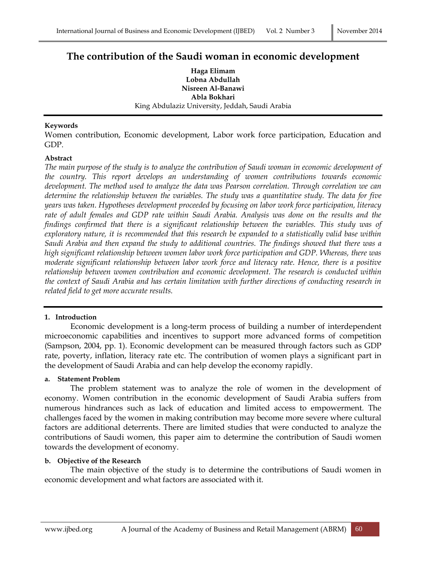# **The contribution of the Saudi woman in economic development**

**Haga Elimam Lobna Abdullah Nisreen Al-Banawi Abla Bokhari** King Abdulaziz University, Jeddah, Saudi Arabia

#### **Keywords**

Women contribution, Economic development, Labor work force participation, Education and GDP.

#### **Abstract**

*The main purpose of the study is to analyze the contribution of Saudi woman in economic development of the country. This report develops an understanding of women contributions towards economic development. The method used to analyze the data was Pearson correlation. Through correlation we can determine the relationship between the variables. The study was a quantitative study. The data for five years was taken. Hypotheses development proceeded by focusing on labor work force participation, literacy rate of adult females and GDP rate within Saudi Arabia. Analysis was done on the results and the findings confirmed that there is a significant relationship between the variables. This study was of exploratory nature, it is recommended that this research be expanded to a statistically valid base within Saudi Arabia and then expand the study to additional countries. The findings showed that there was a high significant relationship between women labor work force participation and GDP. Whereas, there was moderate significant relationship between labor work force and literacy rate. Hence, there is a positive relationship between women contribution and economic development. The research is conducted within the context of Saudi Arabia and has certain limitation with further directions of conducting research in related field to get more accurate results.*

#### **1. Introduction**

Economic development is a long-term process of building a number of interdependent microeconomic capabilities and incentives to support more advanced forms of competition (Sampson, 2004, pp. 1). Economic development can be measured through factors such as GDP rate, poverty, inflation, literacy rate etc. The contribution of women plays a significant part in the development of Saudi Arabia and can help develop the economy rapidly.

#### **a. Statement Problem**

The problem statement was to analyze the role of women in the development of economy. Women contribution in the economic development of Saudi Arabia suffers from numerous hindrances such as lack of education and limited access to empowerment. The challenges faced by the women in making contribution may become more severe where cultural factors are additional deterrents. There are limited studies that were conducted to analyze the contributions of Saudi women, this paper aim to determine the contribution of Saudi women towards the development of economy.

#### **b. Objective of the Research**

The main objective of the study is to determine the contributions of Saudi women in economic development and what factors are associated with it.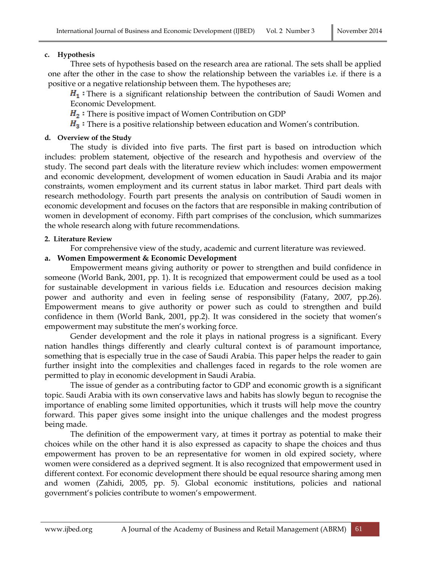# **c. Hypothesis**

Three sets of hypothesis based on the research area are rational. The sets shall be applied one after the other in the case to show the relationship between the variables i.e. if there is a positive or a negative relationship between them. The hypotheses are;

 $H_1$ : There is a significant relationship between the contribution of Saudi Women and Economic Development.

 $H_2$ : There is positive impact of Women Contribution on GDP

 $H_3$ : There is a positive relationship between education and Women's contribution.

# **d. Overview of the Study**

The study is divided into five parts. The first part is based on introduction which includes: problem statement, objective of the research and hypothesis and overview of the study. The second part deals with the literature review which includes: women empowerment and economic development, development of women education in Saudi Arabia and its major constraints, women employment and its current status in labor market. Third part deals with research methodology. Fourth part presents the analysis on contribution of Saudi women in economic development and focuses on the factors that are responsible in making contribution of women in development of economy. Fifth part comprises of the conclusion, which summarizes the whole research along with future recommendations.

# **2. Literature Review**

For comprehensive view of the study, academic and current literature was reviewed.

# **a. Women Empowerment & Economic Development**

Empowerment means giving authority or power to strengthen and build confidence in someone (World Bank, 2001, pp. 1). It is recognized that empowerment could be used as a tool for sustainable development in various fields i.e. Education and resources decision making power and authority and even in feeling sense of responsibility (Fatany, 2007, pp.26). Empowerment means to give authority or power such as could to strengthen and build confidence in them (World Bank, 2001, pp.2). It was considered in the society that women's empowerment may substitute the men's working force.

Gender development and the role it plays in national progress is a significant. Every nation handles things differently and clearly cultural context is of paramount importance, something that is especially true in the case of Saudi Arabia. This paper helps the reader to gain further insight into the complexities and challenges faced in regards to the role women are permitted to play in economic development in Saudi Arabia.

The issue of gender as a contributing factor to GDP and economic growth is a significant topic. Saudi Arabia with its own conservative laws and habits has slowly begun to recognise the importance of enabling some limited opportunities, which it trusts will help move the country forward. This paper gives some insight into the unique challenges and the modest progress being made.

The definition of the empowerment vary, at times it portray as potential to make their choices while on the other hand it is also expressed as capacity to shape the choices and thus empowerment has proven to be an representative for women in old expired society, where women were considered as a deprived segment. It is also recognized that empowerment used in different context. For economic development there should be equal resource sharing among men and women (Zahidi, 2005, pp. 5). Global economic institutions, policies and national government's policies contribute to women's empowerment.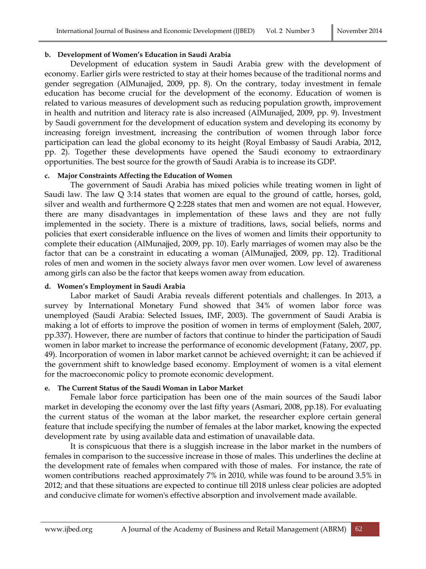#### **b. Development of Women's Education in Saudi Arabia**

Development of education system in Saudi Arabia grew with the development of economy. Earlier girls were restricted to stay at their homes because of the traditional norms and gender segregation (AlMunajjed, 2009, pp. 8). On the contrary, today investment in female education has become crucial for the development of the economy. Education of women is related to various measures of development such as reducing population growth, improvement in health and nutrition and literacy rate is also increased (AlMunajjed, 2009, pp. 9). Investment by Saudi government for the development of education system and developing its economy by increasing foreign investment, increasing the contribution of women through labor force participation can lead the global economy to its height (Royal Embassy of Saudi Arabia, 2012, pp. 2). Together these developments have opened the Saudi economy to extraordinary opportunities. The best source for the growth of Saudi Arabia is to increase its GDP.

#### **c. Major Constraints Affecting the Education of Women**

The government of Saudi Arabia has mixed policies while treating women in light of Saudi law. The law Q 3:14 states that women are equal to the ground of cattle, horses, gold, silver and wealth and furthermore Q 2:228 states that men and women are not equal. However, there are many disadvantages in implementation of these laws and they are not fully implemented in the society. There is a mixture of traditions, laws, social beliefs, norms and policies that exert considerable influence on the lives of women and limits their opportunity to complete their education (AlMunajjed, 2009, pp. 10). Early marriages of women may also be the factor that can be a constraint in educating a woman (AlMunajjed, 2009, pp. 12). Traditional roles of men and women in the society always favor men over women. Low level of awareness among girls can also be the factor that keeps women away from education.

#### **d. Women's Employment in Saudi Arabia**

Labor market of Saudi Arabia reveals different potentials and challenges. In 2013, a survey by International Monetary Fund showed that 34% of women labor force was unemployed (Saudi Arabia: Selected Issues, IMF, 2003). The government of Saudi Arabia is making a lot of efforts to improve the position of women in terms of employment (Saleh, 2007, pp.337). However, there are number of factors that continue to hinder the participation of Saudi women in labor market to increase the performance of economic development (Fatany, 2007, pp. 49). Incorporation of women in labor market cannot be achieved overnight; it can be achieved if the government shift to knowledge based economy. Employment of women is a vital element for the macroeconomic policy to promote economic development.

# **e. The Current Status of the Saudi Woman in Labor Market**

Female labor force participation has been one of the main sources of the Saudi labor market in developing the economy over the last fifty years (Asmari, 2008, pp.18). For evaluating the current status of the woman at the labor market, the researcher explore certain general feature that include specifying the number of females at the labor market, knowing the expected development rate by using available data and estimation of unavailable data.

It is conspicuous that there is a sluggish increase in the labor market in the numbers of females in comparison to the successive increase in those of males. This underlines the decline at the development rate of females when compared with those of males. For instance, the rate of women contributions reached approximately 7% in 2010, while was found to be around 3.5% in 2012; and that these situations are expected to continue till 2018 unless clear policies are adopted and conducive climate for women's effective absorption and involvement made available.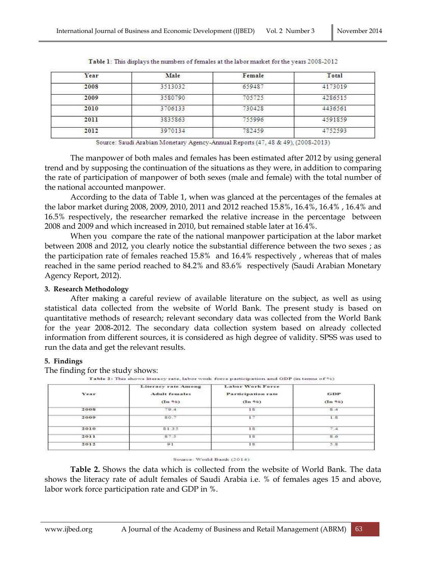| Year | Male    | Female | Total   |
|------|---------|--------|---------|
| 2008 | 3513032 | 659487 | 4173019 |
| 2009 | 3580790 | 705725 | 4286515 |
| 2010 | 3706133 | 730428 | 4436561 |
| 2011 | 3835863 | 755996 | 4591859 |
| 2012 | 3970134 | 782459 | 4752593 |

Table 1: This displays the numbers of females at the labor market for the years 2008-2012

Source: Saudi Arabian Monetary Agency-Annual Reports (47, 48 & 49), (2008-2013)

The manpower of both males and females has been estimated after 2012 by using general trend and by supposing the continuation of the situations as they were, in addition to comparing the rate of participation of manpower of both sexes (male and female) with the total number of the national accounted manpower.

According to the data of Table 1, when was glanced at the percentages of the females at the labor market during 2008, 2009, 2010, 2011 and 2012 reached 15.8%, 16.4%, 16.4% , 16.4% and 16.5% respectively, the researcher remarked the relative increase in the percentage between 2008 and 2009 and which increased in 2010, but remained stable later at 16.4%.

When you compare the rate of the national manpower participation at the labor market between 2008 and 2012, you clearly notice the substantial difference between the two sexes ; as the participation rate of females reached 15.8% and 16.4% respectively , whereas that of males reached in the same period reached to 84.2% and 83.6% respectively (Saudi Arabian Monetary Agency Report, 2012).

#### **3. Research Methodology**

After making a careful review of available literature on the subject, as well as using statistical data collected from the website of World Bank. The present study is based on quantitative methods of research; relevant secondary data was collected from the World Bank for the year 2008-2012. The secondary data collection system based on already collected information from different sources, it is considered as high degree of validity. SPSS was used to run the data and get the relevant results.

# **5. Findings**

The finding for the study shows:

| Year.                              | Literacy rate Among<br>Adult females<br>(n.96) | Labor Work Force<br>Participation rate<br>(1n 96) | GDP<br>(1n 96) |
|------------------------------------|------------------------------------------------|---------------------------------------------------|----------------|
| the company of the company<br>2008 | 79.4                                           | 18                                                | 8.4            |
| 2009                               | 80.7                                           | ŧΞ                                                | 1.8            |
| 2010                               | 81.35                                          | 18<br>- -                                         | 7.4            |
| 2011                               | 87.5                                           | 18                                                | 8.6            |
| 2012                               | 61                                             | 18                                                | 5:8            |

#### Source: World Bank (2014)

**Table 2.** Shows the data which is collected from the website of World Bank. The data shows the literacy rate of adult females of Saudi Arabia i.e. % of females ages 15 and above, labor work force participation rate and GDP in %.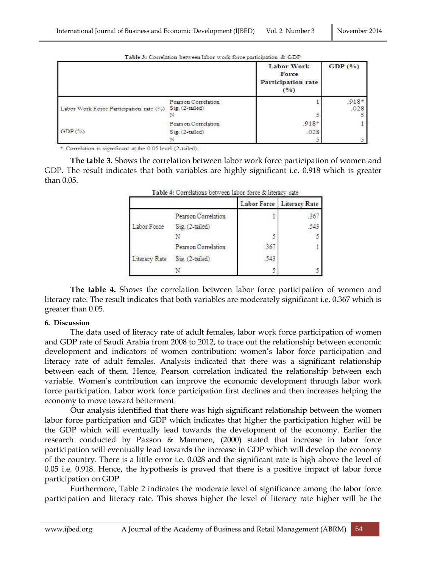| $\sim$ $\sim$ $\sim$ $\sim$ $\sim$ | 1.10.111001.4 |
|------------------------------------|---------------|
|                                    |               |
|                                    |               |

|                                         |                                        | <b>Labor Work</b><br>Force<br>Participation rate<br>(9) | GDP(%)          |
|-----------------------------------------|----------------------------------------|---------------------------------------------------------|-----------------|
| Labor Work Force Participation rate (%) | Pearson Correlation<br>Sig. (2-tailed) |                                                         | $.918*$<br>.028 |
|                                         |                                        | $\tilde{z}$                                             |                 |
|                                         | Pearson Correlation                    | $.918*$                                                 |                 |
| GDP(%)                                  | Sig. (2-tailed).                       | .028                                                    |                 |
|                                         |                                        |                                                         |                 |

Table 3: Correlation between labor work force participation & GDP

\*. Correlation is significant at the 0.05 level (2-tailed).

**The table 3.** Shows the correlation between labor work force participation of women and GDP. The result indicates that both variables are highly significant i.e. 0.918 which is greater than 0.05.

|               |                     |     | Labor Force   Literacy Rate |
|---------------|---------------------|-----|-----------------------------|
|               | Pearson Correlation |     | -36                         |
| Labor Force   | Sig. (2-tailed)     |     | 343                         |
|               |                     |     |                             |
|               | Pearson Correlation | 36  |                             |
| Literacy Rate | Sig. (2-tailed)     | 543 |                             |
|               |                     |     |                             |

Table 4: Correlations between labor force & literacy rate

**The table 4.** Shows the correlation between labor force participation of women and literacy rate. The result indicates that both variables are moderately significant i.e. 0.367 which is greater than 0.05.

#### **6. Discussion**

The data used of literacy rate of adult females, labor work force participation of women and GDP rate of Saudi Arabia from 2008 to 2012, to trace out the relationship between economic development and indicators of women contribution: women's labor force participation and literacy rate of adult females. Analysis indicated that there was a significant relationship between each of them. Hence, Pearson correlation indicated the relationship between each variable. Women's contribution can improve the economic development through labor work force participation. Labor work force participation first declines and then increases helping the economy to move toward betterment.

Our analysis identified that there was high significant relationship between the women labor force participation and GDP which indicates that higher the participation higher will be the GDP which will eventually lead towards the development of the economy. Earlier the research conducted by Paxson & Mammen, (2000) stated that increase in labor force participation will eventually lead towards the increase in GDP which will develop the economy of the country. There is a little error i.e. 0.028 and the significant rate is high above the level of 0.05 i.e. 0.918. Hence, the hypothesis is proved that there is a positive impact of labor force participation on GDP.

Furthermore, Table 2 indicates the moderate level of significance among the labor force participation and literacy rate. This shows higher the level of literacy rate higher will be the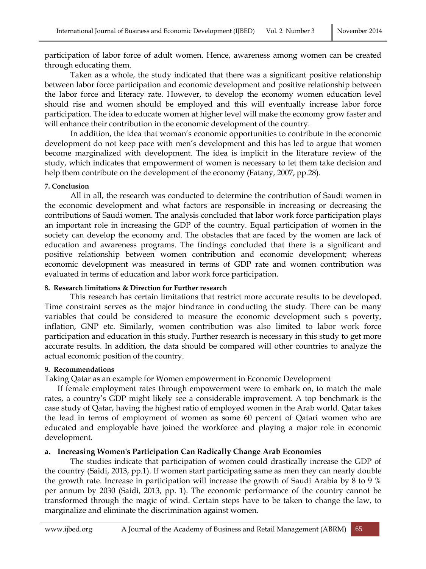participation of labor force of adult women. Hence, awareness among women can be created through educating them.

Taken as a whole, the study indicated that there was a significant positive relationship between labor force participation and economic development and positive relationship between the labor force and literacy rate. However, to develop the economy women education level should rise and women should be employed and this will eventually increase labor force participation. The idea to educate women at higher level will make the economy grow faster and will enhance their contribution in the economic development of the country.

In addition, the idea that woman's economic opportunities to contribute in the economic development do not keep pace with men's development and this has led to argue that women become marginalized with development. The idea is implicit in the literature review of the study, which indicates that empowerment of women is necessary to let them take decision and help them contribute on the development of the economy (Fatany, 2007, pp.28).

# **7. Conclusion**

All in all, the research was conducted to determine the contribution of Saudi women in the economic development and what factors are responsible in increasing or decreasing the contributions of Saudi women. The analysis concluded that labor work force participation plays an important role in increasing the GDP of the country. Equal participation of women in the society can develop the economy and. The obstacles that are faced by the women are lack of education and awareness programs. The findings concluded that there is a significant and positive relationship between women contribution and economic development; whereas economic development was measured in terms of GDP rate and women contribution was evaluated in terms of education and labor work force participation.

# **8. Research limitations & Direction for Further research**

This research has certain limitations that restrict more accurate results to be developed. Time constraint serves as the major hindrance in conducting the study. There can be many variables that could be considered to measure the economic development such s poverty, inflation, GNP etc. Similarly, women contribution was also limited to labor work force participation and education in this study. Further research is necessary in this study to get more accurate results. In addition, the data should be compared will other countries to analyze the actual economic position of the country.

# **9. Recommendations**

Taking Qatar as an example for Women empowerment in Economic Development

If female employment rates through empowerment were to embark on, to match the male rates, a country's GDP might likely see a considerable improvement. A top benchmark is the case study of Qatar, having the highest ratio of employed women in the Arab world. Qatar takes the lead in terms of employment of women as some 60 percent of Qatari women who are educated and employable have joined the workforce and playing a major role in economic development.

# **a. Increasing Women's Participation Can Radically Change Arab Economies**

The studies indicate that participation of women could drastically increase the GDP of the country (Saidi, 2013, pp.1). If women start participating same as men they can nearly double the growth rate. Increase in participation will increase the growth of Saudi Arabia by 8 to 9 % per annum by 2030 (Saidi, 2013, pp. 1). The economic performance of the country cannot be transformed through the magic of wind. Certain steps have to be taken to change the law, to marginalize and eliminate the discrimination against women.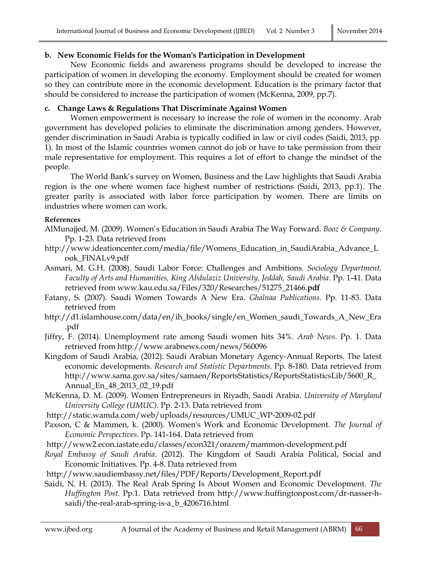# **b. New Economic Fields for the Woman's Participation in Development**

New Economic fields and awareness programs should be developed to increase the participation of women in developing the economy. Employment should be created for women so they can contribute more in the economic development. Education is the primary factor that should be considered to increase the participation of women (McKenna, 2009, pp.7).

# **c. Change Laws & Regulations That Discriminate Against Women**

Women empowerment is necessary to increase the role of women in the economy. Arab government has developed policies to eliminate the discrimination among genders. However, gender discrimination in Saudi Arabia is typically codified in law or civil codes (Saidi, 2013, pp. 1). In most of the Islamic countries women cannot do job or have to take permission from their male representative for employment. This requires a lot of effort to change the mindset of the people.

The World Bank's survey on Women, Business and the Law highlights that Saudi Arabia region is the one where women face highest number of restrictions (Saidi, 2013, pp.1). The greater parity is associated with labor force participation by women. There are limits on industries where women can work.

# **References**

- AlMunajjed, M. (2009). Women's Education in Saudi Arabia The Way Forward. *Booz & Company*. Pp. 1-23. Data retrieved from
- http://www.ideationcenter.com/media/file/Womens\_Education\_in\_SaudiArabia\_Advance\_L ook\_FINALv9.pdf
- Asmari, M. G.H. (2008). Saudi Labor Force: Challenges and Ambitions. *Sociology Department, Faculty of Arts and Humanities, King Abdulaziz University, Jeddah, Saudi Arabia*. Pp. 1-41. Data retrieved from www.kau.edu.sa/Files/320/Researches/51275\_21466.**pdf**
- Fatany, S. (2007). Saudi Women Towards A New Era. *Ghalnaa Publications*. Pp. 11-83. Data retrieved from
- http://d1.islamhouse.com/data/en/ih\_books/single/en\_Women\_saudi\_Towards\_A\_New\_Era .pdf
- Jiffry, F. (2014). Unemployment rate among Saudi women hits 34%. *Arab News*. Pp. 1. Data retrieved from http://www.arabnews.com/news/560096
- Kingdom of Saudi Arabia, (2012). Saudi Arabian Monetary Agency-Annual Reports. The latest economic developments. *Research and Statistic Departments*. Pp. 8-180. Data retrieved from http://www.sama.gov.sa/sites/samaen/ReportsStatistics/ReportsStatisticsLib/5600\_R\_ Annual\_En\_48\_2013\_02\_19.pdf
- McKenna, D. M. (2009). Women Entrepreneurs in Riyadh, Saudi Arabia. *University of Maryland University College (UMUC)*. Pp. 2-13. Data retrieved from
- http://static.wamda.com/web/uploads/resources/UMUC\_WP-2009-02.pdf
- Paxson, C & Mammen, k. (2000). Women's Work and Economic Development. *The Journal of Economic Perspectives*. Pp. 141-164. Data retrieved from
- http://www2.econ.iastate.edu/classes/econ321/orazem/mammon-development.pdf
- *Royal Embassy of Saudi Arabia*. (2012). The Kingdom of Saudi Arabia Political, Social and Economic Initiatives. Pp. 4-8. Data retrieved from
- http://www.saudiembassy.net/files/PDF/Reports/Development\_Report.pdf
- Saidi, N. H. (2013). The Real Arab Spring Is About Women and Economic Development. *The Huffington Post.* Pp.1. Data retrieved from http://www.huffingtonpost.com/dr-nasser-hsaidi/the-real-arab-spring-is-a\_b\_4206716.html